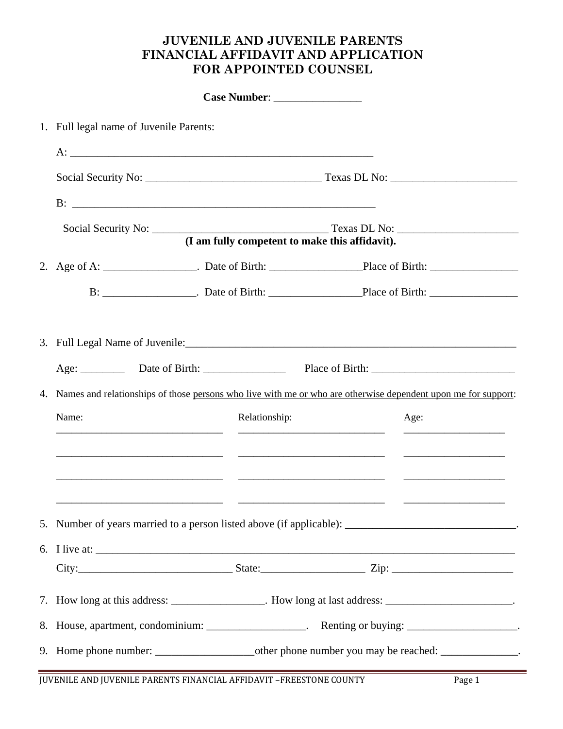## **JUVENILE AND JUVENILE PARENTS FINANCIAL AFFIDAVIT AND APPLICATION FOR APPOINTED COUNSEL**

|  | 1. Full legal name of Juvenile Parents:                                                               |                                                                                                                  |  |      |  |  |
|--|-------------------------------------------------------------------------------------------------------|------------------------------------------------------------------------------------------------------------------|--|------|--|--|
|  |                                                                                                       |                                                                                                                  |  |      |  |  |
|  |                                                                                                       |                                                                                                                  |  |      |  |  |
|  |                                                                                                       |                                                                                                                  |  |      |  |  |
|  |                                                                                                       |                                                                                                                  |  |      |  |  |
|  | (I am fully competent to make this affidavit).                                                        |                                                                                                                  |  |      |  |  |
|  |                                                                                                       |                                                                                                                  |  |      |  |  |
|  |                                                                                                       |                                                                                                                  |  |      |  |  |
|  |                                                                                                       |                                                                                                                  |  |      |  |  |
|  |                                                                                                       |                                                                                                                  |  |      |  |  |
|  |                                                                                                       |                                                                                                                  |  |      |  |  |
|  |                                                                                                       | 4. Names and relationships of those persons who live with me or who are otherwise dependent upon me for support: |  |      |  |  |
|  | Name:                                                                                                 | Relationship:                                                                                                    |  | Age: |  |  |
|  |                                                                                                       |                                                                                                                  |  |      |  |  |
|  |                                                                                                       |                                                                                                                  |  |      |  |  |
|  |                                                                                                       |                                                                                                                  |  |      |  |  |
|  |                                                                                                       |                                                                                                                  |  |      |  |  |
|  | 5. Number of years married to a person listed above (if applicable): _______________________________. |                                                                                                                  |  |      |  |  |
|  | 6. I live at:                                                                                         |                                                                                                                  |  |      |  |  |
|  |                                                                                                       |                                                                                                                  |  |      |  |  |
|  | 7. How long at this address: ________________. How long at last address: ______________________.      |                                                                                                                  |  |      |  |  |
|  | 8. House, apartment, condominium: ___________________. Renting or buying: ____________________.       |                                                                                                                  |  |      |  |  |
|  |                                                                                                       |                                                                                                                  |  |      |  |  |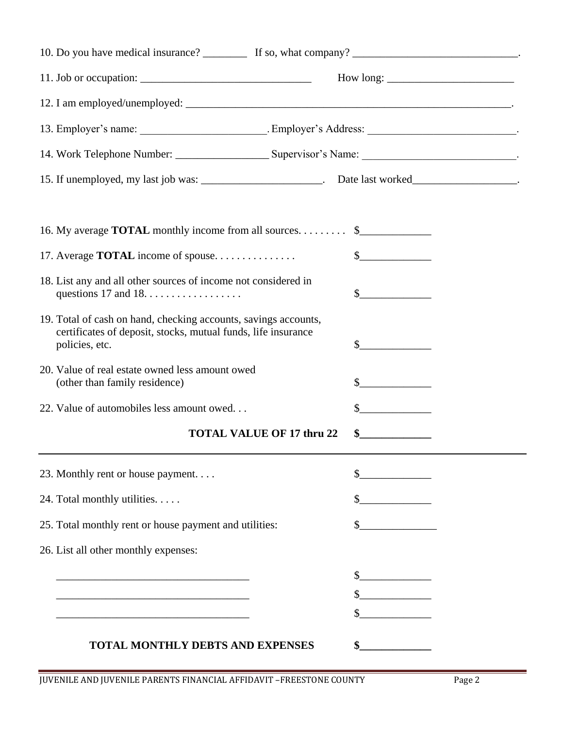|                                                                                                                                                    | 15. If unemployed, my last job was: _______________________. Date last worked___________________. |
|----------------------------------------------------------------------------------------------------------------------------------------------------|---------------------------------------------------------------------------------------------------|
| 16. My average <b>TOTAL</b> monthly income from all sources.                                                                                       | $\frac{1}{2}$                                                                                     |
| 17. Average TOTAL income of spouse                                                                                                                 | $\frac{1}{2}$                                                                                     |
| 18. List any and all other sources of income not considered in                                                                                     | $\sim$                                                                                            |
| 19. Total of cash on hand, checking accounts, savings accounts,<br>certificates of deposit, stocks, mutual funds, life insurance<br>policies, etc. | $\frac{1}{2}$                                                                                     |
| 20. Value of real estate owned less amount owed<br>(other than family residence)                                                                   | $\sim$                                                                                            |
| 22. Value of automobiles less amount owed                                                                                                          | \$.                                                                                               |
|                                                                                                                                                    | <b>TOTAL VALUE OF 17 thru 22</b>                                                                  |
| 23. Monthly rent or house payment                                                                                                                  |                                                                                                   |
| 24. Total monthly utilities.                                                                                                                       | $\frac{1}{2}$                                                                                     |
| 25. Total monthly rent or house payment and utilities:                                                                                             |                                                                                                   |
| 26. List all other monthly expenses:                                                                                                               |                                                                                                   |
|                                                                                                                                                    | $\frac{1}{2}$                                                                                     |
|                                                                                                                                                    |                                                                                                   |
|                                                                                                                                                    |                                                                                                   |
| TOTAL MONTHLY DEBTS AND EXPENSES                                                                                                                   |                                                                                                   |